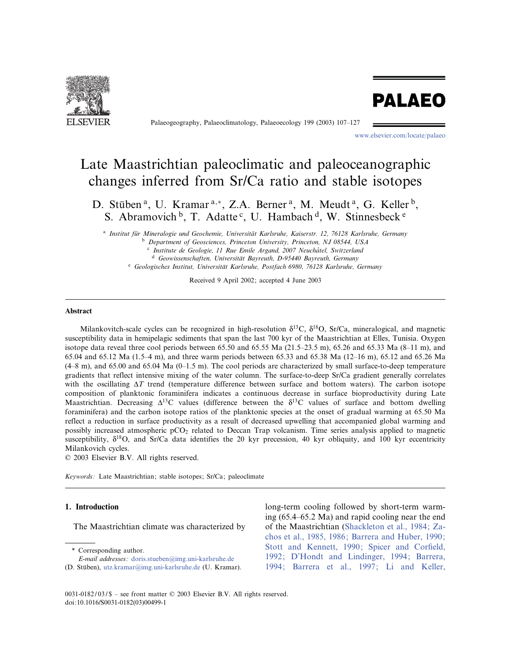

Palaeogeography, Palaeoclimatology, Palaeoecology 199 (2003) 107-127

www.elsevier.com/locate/palaeo

**PALAEO** 

# Late Maastrichtian paleoclimatic and paleoceanographic changes inferred from Sr/Ca ratio and stable isotopes

D. Stüben<sup>a</sup>, U. Kramar<sup>a,\*</sup>, Z.A. Berner<sup>a</sup>, M. Meudt<sup>a</sup>, G. Keller<sup>b</sup>, S. Abramovich <sup>b</sup>, T. Adatte<sup>c</sup>, U. Hambach <sup>d</sup>, W. Stinnesbeck<sup>e</sup>

<sup>a</sup> Institut für Mineralogie und Geochemie, Universität Karlsruhe, Kaiserstr. 12, 76128 Karlsruhe, Germany <sup>b</sup> Department of Geosciences, Princeton University, Princeton, NJ 08544, USA

 $c$  Institute de Geologie, 11 Rue Emile Argand, 2007 Neuchâtel, Switzerland

 $d$  Geowissenschaften, Universität Bayreuth, D-95440 Bayreuth, Germany

e Geologisches Institut, Universität Karlsruhe, Postfach 6980, 76128 Karlsruhe, Germany

Received 9 April 2002; accepted 4 June 2003

## Abstract

Milankovitch-scale cycles can be recognized in high-resolution  $\delta^{13}C$ ,  $\delta^{18}O$ , Sr/Ca, mineralogical, and magnetic susceptibility data in hemipelagic sediments that span the last 700 kyr of the Maastrichtian at Elles, Tunisia. Oxygen isotope data reveal three cool periods between 65.50 and 65.55 Ma  $(21.5-23.5 \text{ m})$ , 65.26 and 65.33 Ma  $(8-11 \text{ m})$ , and 65.04 and 65.12 Ma (1.5 $-4$  m), and three warm periods between 65.33 and 65.38 Ma (12 $-16$  m), 65.12 and 65.26 Ma  $(4-8 \text{ m})$ , and 65.00 and 65.04 Ma  $(0-1.5 \text{ m})$ . The cool periods are characterized by small surface-to-deep temperature gradients that reflect intensive mixing of the water column. The surface-to-deep Sr/Ca gradient generally correlates with the oscillating  $\Delta T$  trend (temperature difference between surface and bottom waters). The carbon isotope composition of planktonic foraminifera indicates a continuous decrease in surface bioproductivity during Late Maastrichtian. Decreasing  $\Delta^{13}C$  values (difference between the  $\delta^{13}C$  values of surface and bottom dwelling foraminifera) and the carbon isotope ratios of the planktonic species at the onset of gradual warming at 65.50 Ma reflect a reduction in surface productivity as a result of decreased upwelling that accompanied global warming and possibly increased atmospheric pCO2 related to Deccan Trap volcanism. Time series analysis applied to magnetic susceptibility,  $\delta^{18}$ O, and Sr/Ca data identifies the 20 kyr precession, 40 kyr obliquity, and 100 kyr eccentricity Milankovich cycles.

 $© 2003 Elsevier B.V. All rights reserved.$ 

Keywords: Late Maastrichtian; stable isotopes; Sr/Ca; paleoclimate

# 1. Introduction

The Maastrichtian climate was characterized by

\* Corresponding author.

long-term cooling followed by short-term warming  $(65.4–65.2 \text{ Ma})$  and rapid cooling near the end of the Maastrichtian (Shackleton et al., 1984; Zachos et al., 1985, 1986; Barrera and Huber, 1990; Stott and Kennett, 1990; Spicer and Corfield, 1992; D'Hondt and Lindinger, 1994; Barrera, 1994; Barrera et al., 1997; Li and Keller,

 $0031 - 0182 / 03 /$  - see front matter  $\odot$  2003 Elsevier B.V. All rights reserved. doi:10.1016/S0031-0182(03)00499-1

E-mail addresses : doris.stueben@img.uni-karlsruhe.de

<sup>(</sup>D. Stüben), utz.kramar@img.uni-karlsruhe.de (U. Kramar).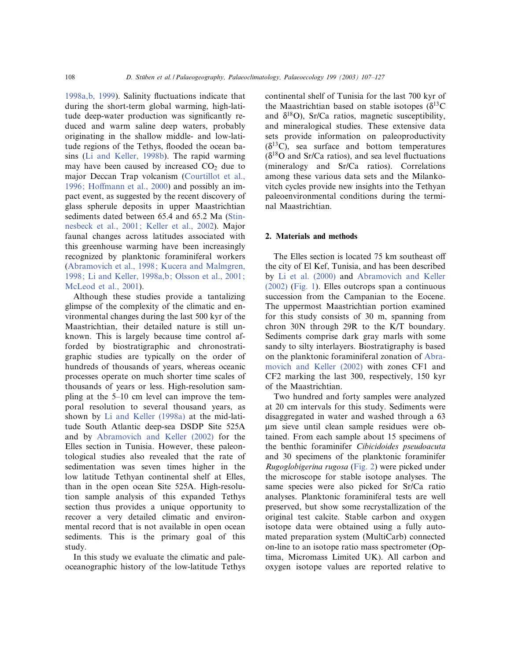1998a, b, 1999). Salinity fluctuations indicate that during the short-term global warming, high-latitude deep-water production was significantly reduced and warm saline deep waters, probably originating in the shallow middle- and low-latitude regions of the Tethys, flooded the ocean basins (Li and Keller, 1998b). The rapid warming may have been caused by increased  $CO<sub>2</sub>$  due to major Deccan Trap volcanism (Courtillot et al., 1996; Hoffmann et al., 2000) and possibly an impact event, as suggested by the recent discovery of glass spherule deposits in upper Maastrichtian sediments dated between 65.4 and 65.2 Ma (Stinnesbeck et al., 2001; Keller et al., 2002). Major faunal changes across latitudes associated with this greenhouse warming have been increasingly recognized by planktonic foraminiferal workers (Abramovich et al., 1998; Kucera and Malmgren, 1998; Li and Keller, 1998a,b; Olsson et al., 2001; McLeod et al., 2001).

Although these studies provide a tantalizing glimpse of the complexity of the climatic and environmental changes during the last 500 kyr of the Maastrichtian, their detailed nature is still unknown. This is largely because time control afforded by biostratigraphic and chronostratigraphic studies are typically on the order of hundreds of thousands of years, whereas oceanic processes operate on much shorter time scales of thousands of years or less. High-resolution sampling at the 5^10 cm level can improve the temporal resolution to several thousand years, as shown by Li and Keller (1998a) at the mid-latitude South Atlantic deep-sea DSDP Site 525A and by Abramovich and Keller (2002) for the Elles section in Tunisia. However, these paleontological studies also revealed that the rate of sedimentation was seven times higher in the low latitude Tethyan continental shelf at Elles, than in the open ocean Site 525A. High-resolution sample analysis of this expanded Tethys section thus provides a unique opportunity to recover a very detailed climatic and environmental record that is not available in open ocean sediments. This is the primary goal of this study.

In this study we evaluate the climatic and paleoceanographic history of the low-latitude Tethys

continental shelf of Tunisia for the last 700 kyr of the Maastrichtian based on stable isotopes  $(\delta^{13}C)$ and  $\delta^{18}O$ ), Sr/Ca ratios, magnetic susceptibility, and mineralogical studies. These extensive data sets provide information on paleoproductivity  $(\delta^{13}C)$ , sea surface and bottom temperatures  $(\delta^{18}O$  and Sr/Ca ratios), and sea level fluctuations (mineralogy and Sr/Ca ratios). Correlations among these various data sets and the Milankovitch cycles provide new insights into the Tethyan paleoenvironmental conditions during the terminal Maastrichtian.

## 2. Materials and methods

The Elles section is located 75 km southeast off the city of El Kef, Tunisia, and has been described by Li et al. (2000) and Abramovich and Keller (2002) (Fig. 1). Elles outcrops span a continuous succession from the Campanian to the Eocene. The uppermost Maastrichtian portion examined for this study consists of 30 m, spanning from chron 30N through 29R to the K/T boundary. Sediments comprise dark gray marls with some sandy to silty interlayers. Biostratigraphy is based on the planktonic foraminiferal zonation of Abramovich and Keller (2002) with zones CF1 and CF2 marking the last 300, respectively, 150 kyr of the Maastrichtian.

Two hundred and forty samples were analyzed at 20 cm intervals for this study. Sediments were disaggregated in water and washed through a 63 Wm sieve until clean sample residues were obtained. From each sample about 15 specimens of the benthic foraminifer Cibicidoides pseudoacuta and 30 specimens of the planktonic foraminifer Rugoglobigerina rugosa (Fig. 2) were picked under the microscope for stable isotope analyses. The same species were also picked for Sr/Ca ratio analyses. Planktonic foraminiferal tests are well preserved, but show some recrystallization of the original test calcite. Stable carbon and oxygen isotope data were obtained using a fully automated preparation system (MultiCarb) connected on-line to an isotope ratio mass spectrometer (Optima, Micromass Limited UK). All carbon and oxygen isotope values are reported relative to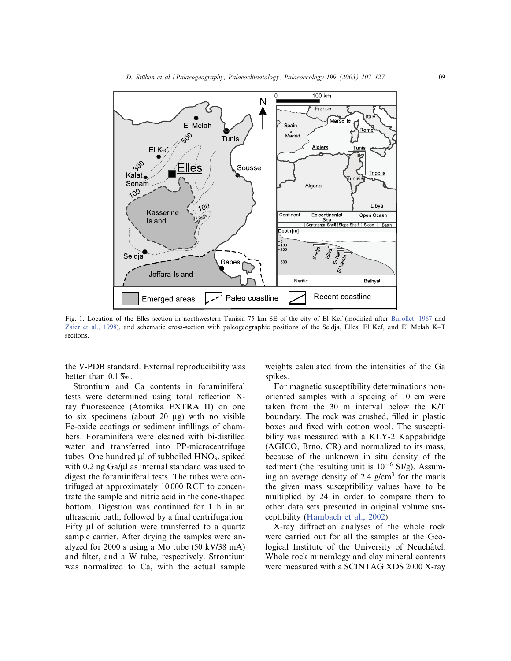

Fig. 1. Location of the Elles section in northwestern Tunisia 75 km SE of the city of El Kef (modified after Burollet, 1967 and Zaier et al., 1998), and schematic cross-section with paleogeographic positions of the Seldja, Elles, El Kef, and El Melah K-T sections.

the V-PDB standard. External reproducibility was better than  $0.1\%$ .

Strontium and Ca contents in foraminiferal tests were determined using total reflection Xray fluorescence (Atomika EXTRA II) on one to six specimens (about 20  $\mu$ g) with no visible Fe-oxide coatings or sediment infillings of chambers. Foraminifera were cleaned with bi-distilled water and transferred into PP-microcentrifuge tubes. One hundred  $\mu$ l of subboiled  $HNO<sub>3</sub>$ , spiked with  $0.2$  ng Ga/ $\mu$ l as internal standard was used to digest the foraminiferal tests. The tubes were centrifuged at approximately 10 000 RCF to concentrate the sample and nitric acid in the cone-shaped bottom. Digestion was continued for 1 h in an ultrasonic bath, followed by a final centrifugation. Fifty  $\mu$ l of solution were transferred to a quartz sample carrier. After drying the samples were analyzed for 2000 s using a Mo tube (50 kV/38 mA) and filter, and a W tube, respectively. Strontium was normalized to Ca, with the actual sample weights calculated from the intensities of the Ga spikes.

For magnetic susceptibility determinations nonoriented samples with a spacing of 10 cm were taken from the 30 m interval below the K/T boundary. The rock was crushed, filled in plastic boxes and fixed with cotton wool. The susceptibility was measured with a KLY-2 Kappabridge (AGICO, Brno, CR) and normalized to its mass, because of the unknown in situ density of the sediment (the resulting unit is  $10^{-6}$  SI/g). Assuming an average density of 2.4  $g/cm<sup>3</sup>$  for the marls the given mass susceptibility values have to be multiplied by 24 in order to compare them to other data sets presented in original volume susceptibility (Hambach et al., 2002).

X-ray diffraction analyses of the whole rock were carried out for all the samples at the Geological Institute of the University of Neuchâtel. Whole rock mineralogy and clay mineral contents were measured with a SCINTAG XDS 2000 X-ray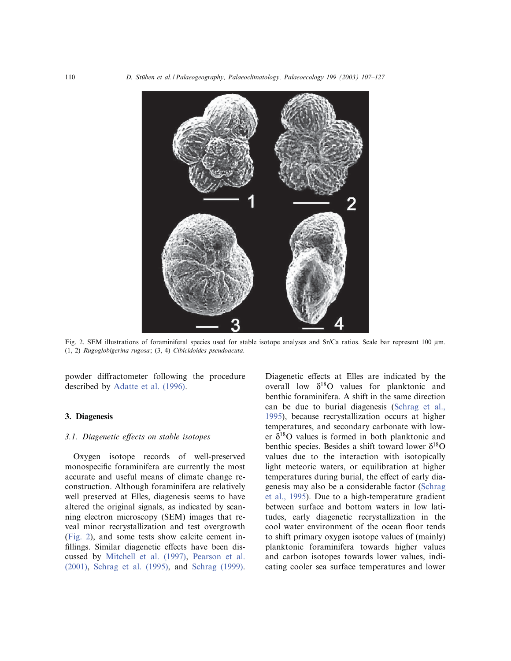

Fig. 2. SEM illustrations of foraminiferal species used for stable isotope analyses and Sr/Ca ratios. Scale bar represent 100 µm. (1, 2) Rugoglobigerina rugosa; (3, 4) Cibicidoides pseudoacuta.

powder diffractometer following the procedure described by Adatte et al. (1996).

## 3. Diagenesis

# 3.1. Diagenetic effects on stable isotopes

Oxygen isotope records of well-preserved monospecific foraminifera are currently the most accurate and useful means of climate change reconstruction. Although foraminifera are relatively well preserved at Elles, diagenesis seems to have altered the original signals, as indicated by scanning electron microscopy (SEM) images that reveal minor recrystallization and test overgrowth (Fig. 2), and some tests show calcite cement in fillings. Similar diagenetic effects have been discussed by Mitchell et al. (1997), Pearson et al. (2001), Schrag et al. (1995), and Schrag (1999).

Diagenetic effects at Elles are indicated by the overall low  $\delta^{18}O$  values for planktonic and benthic foraminifera. A shift in the same direction can be due to burial diagenesis (Schrag et al., 1995), because recrystallization occurs at higher temperatures, and secondary carbonate with lower  $\delta^{18}$ O values is formed in both planktonic and benthic species. Besides a shift toward lower  $\delta^{18}O$ values due to the interaction with isotopically light meteoric waters, or equilibration at higher temperatures during burial, the effect of early diagenesis may also be a considerable factor (Schrag et al., 1995). Due to a high-temperature gradient between surface and bottom waters in low latitudes, early diagenetic recrystallization in the cool water environment of the ocean floor tends to shift primary oxygen isotope values of (mainly) planktonic foraminifera towards higher values and carbon isotopes towards lower values, indicating cooler sea surface temperatures and lower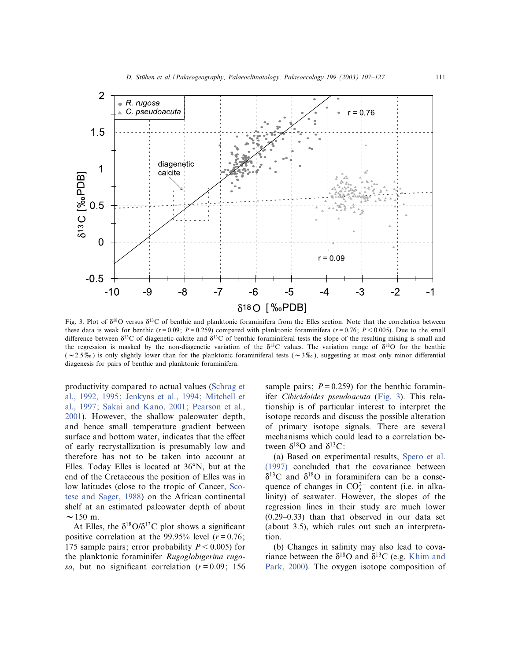

Fig. 3. Plot of  $\delta^{18}O$  versus  $\delta^{13}O$  of benthic and planktonic foraminifera from the Elles section. Note that the correlation between these data is weak for benthic ( $r=0.09$ ;  $P=0.259$ ) compared with planktonic foraminifera ( $r=0.76$ ;  $P<0.005$ ). Due to the small difference between  $\delta^{13}C$  of diagenetic calcite and  $\delta^{13}C$  of benthic foraminiferal tests the slope of the resulting mixing is small and the regression is masked by the non-diagenetic variation of the  $\delta^{13}$ C values. The variation range of  $\delta^{18}$ O for the benthic ( $\sim$ 2.5%) is only slightly lower than for the planktonic foraminiferal tests ( $\sim$ 3%), suggesting at most only minor differential diagenesis for pairs of benthic and planktonic foraminifera.

productivity compared to actual values (Schrag et al., 1992, 1995; Jenkyns et al., 1994; Mitchell et al., 1997; Sakai and Kano, 2001; Pearson et al., 2001). However, the shallow paleowater depth, and hence small temperature gradient between surface and bottom water, indicates that the effect of early recrystallization is presumably low and therefore has not to be taken into account at Elles. Today Elles is located at  $36^{\circ}N$ , but at the end of the Cretaceous the position of Elles was in low latitudes (close to the tropic of Cancer, Scotese and Sager, 1988) on the African continental shelf at an estimated paleowater depth of about  $\sim$  150 m.

At Elles, the  $\delta^{18}O/\delta^{13}C$  plot shows a significant positive correlation at the 99.95% level  $(r = 0.76)$ ; 175 sample pairs; error probability  $P < 0.005$ ) for the planktonic foraminifer Rugoglobigerina rugosa, but no significant correlation  $(r=0.09; 156)$  sample pairs;  $P = 0.259$  for the benthic foraminifer Cibicidoides pseudoacuta (Fig. 3). This relationship is of particular interest to interpret the isotope records and discuss the possible alteration of primary isotope signals. There are several mechanisms which could lead to a correlation between  $\delta^{18}$ O and  $\delta^{13}$ C:

(a) Based on experimental results, Spero et al. (1997) concluded that the covariance between  $\delta^{13}$ C and  $\delta^{18}$ O in foraminifera can be a consequence of changes in  $CO_3^{2-}$  content (i.e. in alkalinity) of seawater. However, the slopes of the regression lines in their study are much lower  $(0.29-0.33)$  than that observed in our data set (about 3.5), which rules out such an interpretation.

(b) Changes in salinity may also lead to covariance between the  $\delta^{18}$ O and  $\delta^{13}$ C (e.g. Khim and Park, 2000). The oxygen isotope composition of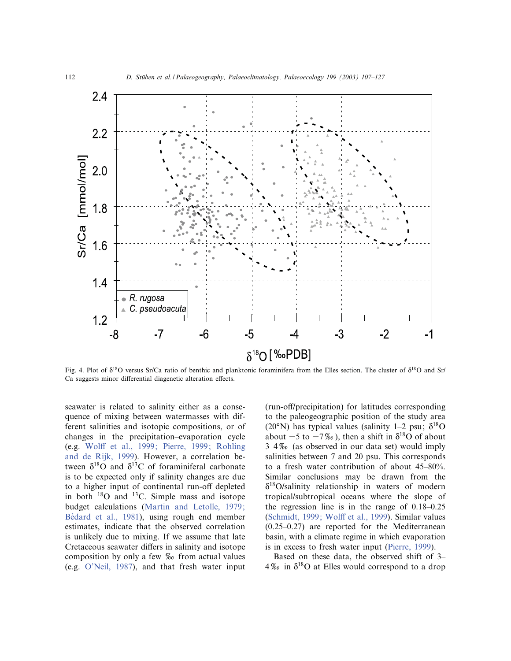

Fig. 4. Plot of  $\delta^{18}O$  versus Sr/Ca ratio of benthic and planktonic foraminifera from the Elles section. The cluster of  $\delta^{18}O$  and Sr/ Ca suggests minor differential diagenetic alteration effects.

seawater is related to salinity either as a consequence of mixing between watermasses with different salinities and isotopic compositions, or of changes in the precipitation^evaporation cycle (e.g. Wolff et al., 1999; Pierre, 1999; Rohling and de Rijk, 1999). However, a correlation between  $\delta^{18}$ O and  $\delta^{13}$ C of foraminiferal carbonate is to be expected only if salinity changes are due to a higher input of continental run-off depleted in both  $^{18}$ O and  $^{13}$ C. Simple mass and isotope budget calculations (Martin and Letolle, 1979; Bédard et al., 1981), using rough end member estimates, indicate that the observed correlation is unlikely due to mixing. If we assume that late Cretaceous seawater differs in salinity and isotope composition by only a few  $\%$  from actual values (e.g. O'Neil, 1987), and that fresh water input (run-off/precipitation) for latitudes corresponding to the paleogeographic position of the study area (20°N) has typical values (salinity 1–2 psu;  $\delta^{18}O$ about  $-5$  to  $-7\%$ , then a shift in  $\delta^{18}$ O of about  $3-4\%$  (as observed in our data set) would imply salinities between 7 and 20 psu. This corresponds to a fresh water contribution of about 45^80%. Similar conclusions may be drawn from the  $\delta^{18}$ O/salinity relationship in waters of modern tropical/subtropical oceans where the slope of the regression line is in the range of  $0.18-0.25$ (Schmidt, 1999; Wolff et al., 1999). Similar values  $(0.25-0.27)$  are reported for the Mediterranean basin, with a climate regime in which evaporation is in excess to fresh water input (Pierre, 1999).

Based on these data, the observed shift of 3–  $4\%$  in  $\delta^{18}$ O at Elles would correspond to a drop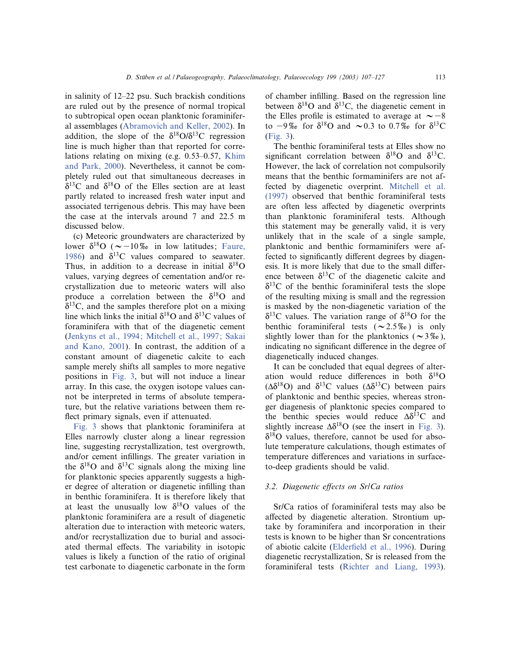in salinity of  $12-22$  psu. Such brackish conditions are ruled out by the presence of normal tropical to subtropical open ocean planktonic foraminiferal assemblages (Abramovich and Keller, 2002). In addition, the slope of the  $\delta^{18}O/\delta^{13}C$  regression line is much higher than that reported for correlations relating on mixing (e.g. 0.53-0.57, Khim and Park, 2000). Nevertheless, it cannot be completely ruled out that simultaneous decreases in  $\delta^{13}$ C and  $\delta^{18}$ O of the Elles section are at least partly related to increased fresh water input and associated terrigenous debris. This may have been the case at the intervals around 7 and 22.5 m discussed below.

(c) Meteoric groundwaters are characterized by lower  $\delta^{18}O$  ( $\sim$  -10% in low latitudes; Faure, 1986) and  $\delta^{13}$ C values compared to seawater. Thus, in addition to a decrease in initial  $\delta^{18}O$ values, varying degrees of cementation and/or recrystallization due to meteoric waters will also produce a correlation between the  $\delta^{18}O$  and  $\delta^{13}$ C, and the samples therefore plot on a mixing line which links the initial  $\delta^{18}$ O and  $\delta^{13}$ C values of foraminifera with that of the diagenetic cement (Jenkyns et al., 1994; Mitchell et al., 1997; Sakai and Kano, 2001). In contrast, the addition of a constant amount of diagenetic calcite to each sample merely shifts all samples to more negative positions in Fig. 3, but will not induce a linear array. In this case, the oxygen isotope values cannot be interpreted in terms of absolute temperature, but the relative variations between them re flect primary signals, even if attenuated.

Fig. 3 shows that planktonic foraminifera at Elles narrowly cluster along a linear regression line, suggesting recrystallization, test overgrowth, and/or cement in¢llings. The greater variation in the  $\delta^{18}$ O and  $\delta^{13}$ C signals along the mixing line for planktonic species apparently suggests a higher degree of alteration or diagenetic in¢lling than in benthic foraminifera. It is therefore likely that at least the unusually low  $\delta^{18}$ O values of the planktonic foraminifera are a result of diagenetic alteration due to interaction with meteoric waters, and/or recrystallization due to burial and associated thermal effects. The variability in isotopic values is likely a function of the ratio of original test carbonate to diagenetic carbonate in the form

of chamber in¢lling. Based on the regression line between  $\delta^{18}$ O and  $\delta^{13}$ C, the diagenetic cement in the Elles profile is estimated to average at  $\sim -8$ to  $-9\%$  for  $\delta^{18}$ O and  $\sim 0.3$  to 0.7\% for  $\delta^{13}$ C (Fig. 3).

The benthic foraminiferal tests at Elles show no significant correlation between  $\delta^{18}O$  and  $\delta^{13}C$ . However, the lack of correlation not compulsorily means that the benthic formaminifers are not affected by diagenetic overprint. Mitchell et al. (1997) observed that benthic foraminiferal tests are often less affected by diagenetic overprints than planktonic foraminiferal tests. Although this statement may be generally valid, it is very unlikely that in the scale of a single sample, planktonic and benthic formaminifers were affected to significantly different degrees by diagenesis. It is more likely that due to the small difference between  $\delta^{13}$ C of the diagenetic calcite and  $\delta^{13}$ C of the benthic foraminiferal tests the slope of the resulting mixing is small and the regression is masked by the non-diagenetic variation of the  $\delta^{13}$ C values. The variation range of  $\delta^{18}$ O for the benthic foraminiferal tests ( $\sim$ 2.5\%) is only slightly lower than for the planktonics ( $\sim$ 3\%), indicating no significant difference in the degree of diagenetically induced changes.

It can be concluded that equal degrees of alteration would reduce differences in both  $\delta^{18}O$  $(\Delta \delta^{18}O)$  and  $\delta^{13}C$  values  $(\Delta \delta^{13}C)$  between pairs of planktonic and benthic species, whereas stronger diagenesis of planktonic species compared to the benthic species would reduce  $\Delta \delta^{13}$ C and slightly increase  $\Delta \delta^{18}$ O (see the insert in Fig. 3).  $\delta^{18}$ O values, therefore, cannot be used for absolute temperature calculations, though estimates of temperature differences and variations in surfaceto-deep gradients should be valid.

# 3.2. Diagenetic effects on Sr/Ca ratios

Sr/Ca ratios of foraminiferal tests may also be affected by diagenetic alteration. Strontium uptake by foraminifera and incorporation in their tests is known to be higher than Sr concentrations of abiotic calcite (Elderfield et al., 1996). During diagenetic recrystallization, Sr is released from the foraminiferal tests (Richter and Liang, 1993).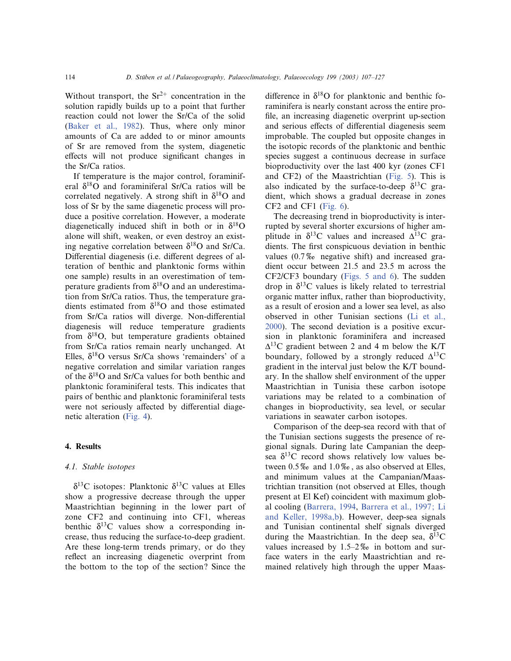Without transport, the  $Sr^{2+}$  concentration in the solution rapidly builds up to a point that further reaction could not lower the Sr/Ca of the solid (Baker et al., 1982). Thus, where only minor amounts of Ca are added to or minor amounts of Sr are removed from the system, diagenetic effects will not produce significant changes in the Sr/Ca ratios.

If temperature is the major control, foraminiferal  $\delta^{18}$ O and foraminiferal Sr/Ca ratios will be correlated negatively. A strong shift in  $\delta^{18}$ O and loss of Sr by the same diagenetic process will produce a positive correlation. However, a moderate diagenetically induced shift in both or in  $\delta^{18}O$ alone will shift, weaken, or even destroy an existing negative correlation between  $\delta^{18}$ O and Sr/Ca. Differential diagenesis (i.e. different degrees of alteration of benthic and planktonic forms within one sample) results in an overestimation of temperature gradients from  $\delta^{18}$ O and an underestimation from Sr/Ca ratios. Thus, the temperature gradients estimated from  $\delta^{18}$ O and those estimated from Sr/Ca ratios will diverge. Non-differential diagenesis will reduce temperature gradients from  $\delta^{18}$ O, but temperature gradients obtained from Sr/Ca ratios remain nearly unchanged. At Elles,  $\delta^{18}$ O versus Sr/Ca shows 'remainders' of a negative correlation and similar variation ranges of the  $\delta^{18}$ O and Sr/Ca values for both benthic and planktonic foraminiferal tests. This indicates that pairs of benthic and planktonic foraminiferal tests were not seriously affected by differential diagenetic alteration (Fig. 4).

## 4. Results

## 4.1. Stable isotopes

 $\delta^{13}$ C isotopes: Planktonic  $\delta^{13}$ C values at Elles show a progressive decrease through the upper Maastrichtian beginning in the lower part of zone CF2 and continuing into CF1, whereas benthic  $\delta^{13}$ C values show a corresponding increase, thus reducing the surface-to-deep gradient. Are these long-term trends primary, or do they reflect an increasing diagenetic overprint from the bottom to the top of the section? Since the difference in  $\delta^{18}O$  for planktonic and benthic foraminifera is nearly constant across the entire pro file, an increasing diagenetic overprint up-section and serious effects of differential diagenesis seem improbable. The coupled but opposite changes in the isotopic records of the planktonic and benthic species suggest a continuous decrease in surface bioproductivity over the last 400 kyr (zones CF1 and CF2) of the Maastrichtian (Fig. 5). This is also indicated by the surface-to-deep  $\delta^{13}$ C gradient, which shows a gradual decrease in zones CF2 and CF1 (Fig. 6).

The decreasing trend in bioproductivity is interrupted by several shorter excursions of higher amplitude in  $\delta^{13}$ C values and increased  $\Delta^{13}$ C gradients. The first conspicuous deviation in benthic values  $(0.7\%$  negative shift) and increased gradient occur between 21.5 and 23.5 m across the CF2/CF3 boundary (Figs. 5 and 6). The sudden drop in  $\delta^{13}$ C values is likely related to terrestrial organic matter influx, rather than bioproductivity, as a result of erosion and a lower sea level, as also observed in other Tunisian sections (Li et al., 2000). The second deviation is a positive excursion in planktonic foraminifera and increased  $\Delta^{13}$ C gradient between 2 and 4 m below the K/T boundary, followed by a strongly reduced  $\Delta^{13}$ C gradient in the interval just below the K/T boundary. In the shallow shelf environment of the upper Maastrichtian in Tunisia these carbon isotope variations may be related to a combination of changes in bioproductivity, sea level, or secular variations in seawater carbon isotopes.

Comparison of the deep-sea record with that of the Tunisian sections suggests the presence of regional signals. During late Campanian the deepsea  $\delta^{13}$ C record shows relatively low values between  $0.5\%$  and  $1.0\%$ , as also observed at Elles, and minimum values at the Campanian/Maastrichtian transition (not observed at Elles, though present at El Kef) coincident with maximum global cooling (Barrera, 1994, Barrera et al., 1997; Li and Keller, 1998a,b). However, deep-sea signals and Tunisian continental shelf signals diverged during the Maastrichtian. In the deep sea,  $\delta^{13}$ C values increased by  $1.5-2\%$  in bottom and surface waters in the early Maastrichtian and remained relatively high through the upper Maas-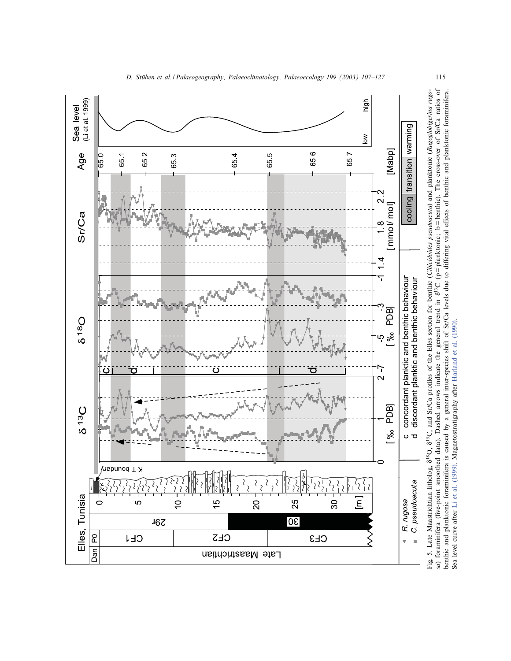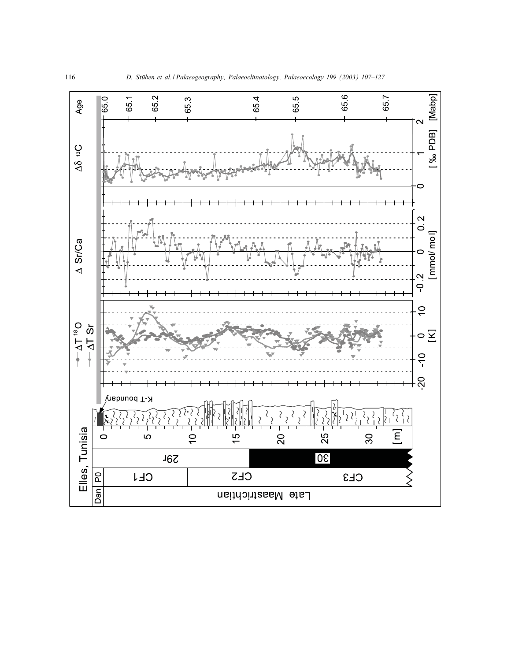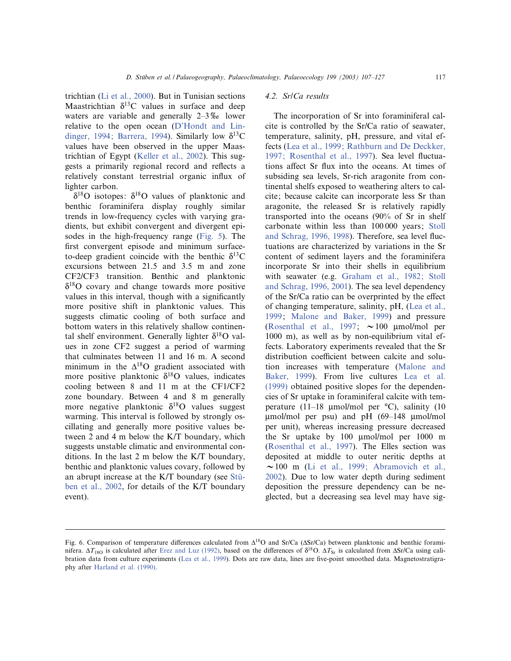trichtian (Li et al., 2000). But in Tunisian sections Maastrichtian  $\delta^{13}$ C values in surface and deep waters are variable and generally  $2-3\%$  lower relative to the open ocean (D'Hondt and Lindinger, 1994; Barrera, 1994). Similarly low  $\delta^{13}C$ values have been observed in the upper Maastrichtian of Egypt (Keller et al., 2002). This suggests a primarily regional record and reflects a relatively constant terrestrial organic influx of lighter carbon.

 $\delta^{18}$ O isotopes:  $\delta^{18}$ O values of planktonic and benthic foraminifera display roughly similar trends in low-frequency cycles with varying gradients, but exhibit convergent and divergent episodes in the high-frequency range (Fig. 5). The first convergent episode and minimum surfaceto-deep gradient coincide with the benthic  $\delta^{13}$ C excursions between 21.5 and 3.5 m and zone CF2/CF3 transition. Benthic and planktonic  $\delta^{18}$ O covary and change towards more positive values in this interval, though with a significantly more positive shift in planktonic values. This suggests climatic cooling of both surface and bottom waters in this relatively shallow continental shelf environment. Generally lighter  $\delta^{18}O$  values in zone CF2 suggest a period of warming that culminates between 11 and 16 m. A second minimum in the  $\Delta^{18}$ O gradient associated with more positive planktonic  $\delta^{18}$ O values, indicates cooling between 8 and 11 m at the CF1/CF2 zone boundary. Between 4 and 8 m generally more negative planktonic  $\delta^{18}O$  values suggest warming. This interval is followed by strongly oscillating and generally more positive values between 2 and 4 m below the K/T boundary, which suggests unstable climatic and environmental conditions. In the last 2 m below the K/T boundary, benthic and planktonic values covary, followed by an abrupt increase at the  $K/T$  boundary (see Stüben et al., 2002, for details of the K/T boundary event).

# 4.2. Sr/Ca results

The incorporation of Sr into foraminiferal calcite is controlled by the Sr/Ca ratio of seawater, temperature, salinity, pH, pressure, and vital effects (Lea et al., 1999; Rathburn and De Deckker, 1997; Rosenthal et al., 1997). Sea level fluctuations affect Sr flux into the oceans. At times of subsiding sea levels, Sr-rich aragonite from continental shelfs exposed to weathering alters to calcite; because calcite can incorporate less Sr than aragonite, the released Sr is relatively rapidly transported into the oceans (90% of Sr in shelf carbonate within less than 100 000 years; Stoll and Schrag, 1996, 1998). Therefore, sea level fluctuations are characterized by variations in the Sr content of sediment layers and the foraminifera incorporate Sr into their shells in equilibrium with seawater (e.g. Graham et al., 1982; Stoll and Schrag, 1996, 2001). The sea level dependency of the Sr/Ca ratio can be overprinted by the effect of changing temperature, salinity, pH, (Lea et al., 1999; Malone and Baker, 1999) and pressure (Rosenthal et al., 1997;  $\sim$  100 µmol/mol per 1000 m), as well as by non-equilibrium vital effects. Laboratory experiments revealed that the Sr distribution coefficient between calcite and solution increases with temperature (Malone and Baker, 1999). From live cultures Lea et al. (1999) obtained positive slopes for the dependencies of Sr uptake in foraminiferal calcite with temperature (11-18 µmol/mol per  $°C$ ), salinity (10  $\mu$ mol/mol per psu) and pH (69-148  $\mu$ mol/mol per unit), whereas increasing pressure decreased the Sr uptake by 100 Wmol/mol per 1000 m (Rosenthal et al., 1997). The Elles section was deposited at middle to outer neritic depths at  $\sim$ 100 m (Li et al., 1999; Abramovich et al., 2002). Due to low water depth during sediment deposition the pressure dependency can be neglected, but a decreasing sea level may have sig-

Fig. 6. Comparison of temperature differences calculated from  $\Delta^{18}$ O and Sr/Ca ( $\Delta$ Sr/Ca) between planktonic and benthic foraminifera.  $\Delta T_{180}$  is calculated after Erez and Luz (1992), based on the differences of  $\delta^{18}$ O.  $\Delta T_{Sr}$  is calculated from  $\Delta S r/Ca$  using calibration data from culture experiments (Lea et al., 1999). Dots are raw data, lines are five-point smoothed data. Magnetostratigraphy after Harland et al. (1990).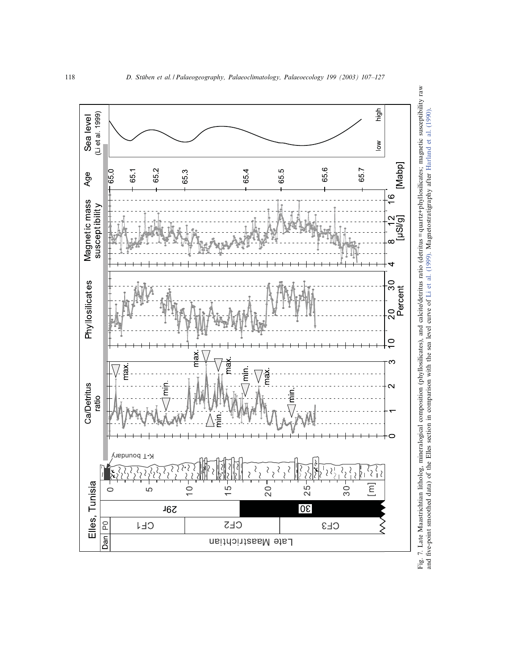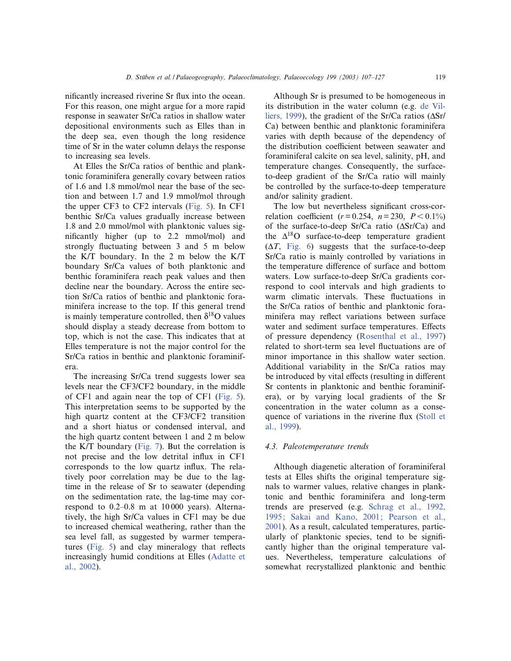nificantly increased riverine Sr flux into the ocean. For this reason, one might argue for a more rapid response in seawater Sr/Ca ratios in shallow water depositional environments such as Elles than in the deep sea, even though the long residence time of Sr in the water column delays the response to increasing sea levels.

At Elles the Sr/Ca ratios of benthic and planktonic foraminifera generally covary between ratios of 1.6 and 1.8 mmol/mol near the base of the section and between 1.7 and 1.9 mmol/mol through the upper CF3 to CF2 intervals (Fig. 5). In CF1 benthic Sr/Ca values gradually increase between 1.8 and 2.0 mmol/mol with planktonic values significantly higher (up to 2.2 mmol/mol) and strongly fluctuating between 3 and 5 m below the K/T boundary. In the 2 m below the K/T boundary Sr/Ca values of both planktonic and benthic foraminifera reach peak values and then decline near the boundary. Across the entire section Sr/Ca ratios of benthic and planktonic foraminifera increase to the top. If this general trend is mainly temperature controlled, then  $\delta^{18}O$  values should display a steady decrease from bottom to top, which is not the case. This indicates that at Elles temperature is not the major control for the Sr/Ca ratios in benthic and planktonic foraminifera.

The increasing Sr/Ca trend suggests lower sea levels near the CF3/CF2 boundary, in the middle of CF1 and again near the top of CF1 (Fig. 5). This interpretation seems to be supported by the high quartz content at the CF3/CF2 transition and a short hiatus or condensed interval, and the high quartz content between 1 and 2 m below the K/T boundary (Fig. 7). But the correlation is not precise and the low detrital influx in CF1 corresponds to the low quartz influx. The relatively poor correlation may be due to the lagtime in the release of Sr to seawater (depending on the sedimentation rate, the lag-time may correspond to  $0.2-0.8$  m at  $10\,000$  years). Alternatively, the high Sr/Ca values in CF1 may be due to increased chemical weathering, rather than the sea level fall, as suggested by warmer temperatures (Fig.  $5$ ) and clay mineralogy that reflects increasingly humid conditions at Elles (Adatte et al., 2002).

Although Sr is presumed to be homogeneous in its distribution in the water column (e.g. de Villiers, 1999), the gradient of the Sr/Ca ratios  $(\Delta Sr)$ Ca) between benthic and planktonic foraminifera varies with depth because of the dependency of the distribution coefficient between seawater and foraminiferal calcite on sea level, salinity, pH, and temperature changes. Consequently, the surfaceto-deep gradient of the Sr/Ca ratio will mainly be controlled by the surface-to-deep temperature and/or salinity gradient.

The low but nevertheless significant cross-correlation coefficient ( $r = 0.254$ ,  $n = 230$ ,  $P < 0.1\%$ ) of the surface-to-deep Sr/Ca ratio  $(\Delta S r/Ca)$  and the  $\Delta^{18}$ O surface-to-deep temperature gradient  $(\Delta T,$  Fig. 6) suggests that the surface-to-deep Sr/Ca ratio is mainly controlled by variations in the temperature difference of surface and bottom waters. Low surface-to-deep Sr/Ca gradients correspond to cool intervals and high gradients to warm climatic intervals. These fluctuations in the Sr/Ca ratios of benthic and planktonic foraminifera may reflect variations between surface water and sediment surface temperatures. Effects of pressure dependency (Rosenthal et al., 1997) related to short-term sea level fluctuations are of minor importance in this shallow water section. Additional variability in the Sr/Ca ratios may be introduced by vital effects (resulting in different Sr contents in planktonic and benthic foraminifera), or by varying local gradients of the Sr concentration in the water column as a consequence of variations in the riverine flux (Stoll et al., 1999).

#### 4.3. Paleotemperature trends

Although diagenetic alteration of foraminiferal tests at Elles shifts the original temperature signals to warmer values, relative changes in planktonic and benthic foraminifera and long-term trends are preserved (e.g. Schrag et al., 1992, 1995; Sakai and Kano, 2001; Pearson et al., 2001). As a result, calculated temperatures, particularly of planktonic species, tend to be significantly higher than the original temperature values. Nevertheless, temperature calculations of somewhat recrystallized planktonic and benthic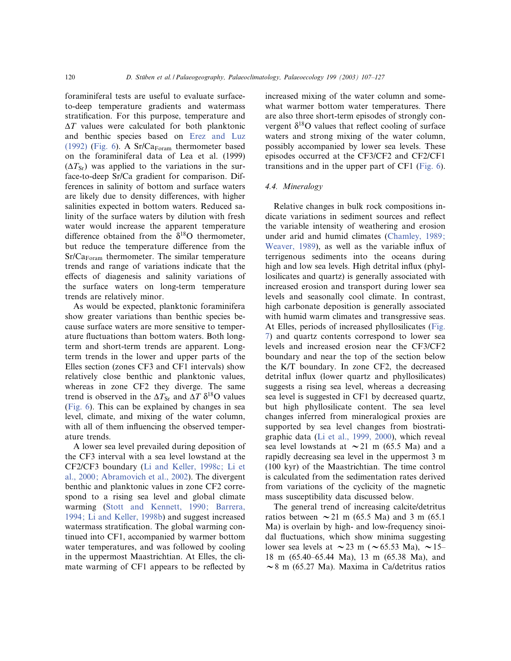foraminiferal tests are useful to evaluate surfaceto-deep temperature gradients and watermass stratification. For this purpose, temperature and  $\Delta T$  values were calculated for both planktonic and benthic species based on Erez and Luz (1992) (Fig. 6). A  $Sr/Ca_{Foram}$  thermometer based on the foraminiferal data of Lea et al. (1999)  $(\Delta T_{\rm Sr})$  was applied to the variations in the surface-to-deep Sr/Ca gradient for comparison. Differences in salinity of bottom and surface waters are likely due to density differences, with higher salinities expected in bottom waters. Reduced salinity of the surface waters by dilution with fresh water would increase the apparent temperature difference obtained from the  $\delta^{18}$ O thermometer, but reduce the temperature difference from the  $Sr/Ca_{\text{Foram}}$  thermometer. The similar temperature trends and range of variations indicate that the effects of diagenesis and salinity variations of the surface waters on long-term temperature trends are relatively minor.

As would be expected, planktonic foraminifera show greater variations than benthic species because surface waters are more sensitive to temperature fluctuations than bottom waters. Both longterm and short-term trends are apparent. Longterm trends in the lower and upper parts of the Elles section (zones CF3 and CF1 intervals) show relatively close benthic and planktonic values, whereas in zone CF2 they diverge. The same trend is observed in the  $\Delta T_{\rm Sr}$  and  $\Delta T$   $\delta^{18}$ O values (Fig. 6). This can be explained by changes in sea level, climate, and mixing of the water column, with all of them influencing the observed temperature trends.

A lower sea level prevailed during deposition of the CF3 interval with a sea level lowstand at the CF2/CF3 boundary (Li and Keller, 1998c; Li et al., 2000; Abramovich et al., 2002). The divergent benthic and planktonic values in zone CF2 correspond to a rising sea level and global climate warming (Stott and Kennett, 1990; Barrera, 1994; Li and Keller, 1998b) and suggest increased watermass stratification. The global warming continued into CF1, accompanied by warmer bottom water temperatures, and was followed by cooling in the uppermost Maastrichtian. At Elles, the climate warming of CF1 appears to be reflected by

increased mixing of the water column and somewhat warmer bottom water temperatures. There are also three short-term episodes of strongly convergent  $\delta^{18}$ O values that reflect cooling of surface waters and strong mixing of the water column, possibly accompanied by lower sea levels. These episodes occurred at the CF3/CF2 and CF2/CF1 transitions and in the upper part of CF1 (Fig. 6).

## 4.4. Mineralogy

Relative changes in bulk rock compositions indicate variations in sediment sources and reflect the variable intensity of weathering and erosion under arid and humid climates (Chamley, 1989; Weaver, 1989), as well as the variable influx of terrigenous sediments into the oceans during high and low sea levels. High detrital influx (phyllosilicates and quartz) is generally associated with increased erosion and transport during lower sea levels and seasonally cool climate. In contrast, high carbonate deposition is generally associated with humid warm climates and transgressive seas. At Elles, periods of increased phyllosilicates (Fig. 7) and quartz contents correspond to lower sea levels and increased erosion near the CF3/CF2 boundary and near the top of the section below the K/T boundary. In zone CF2, the decreased detrital influx (lower quartz and phyllosilicates) suggests a rising sea level, whereas a decreasing sea level is suggested in CF1 by decreased quartz, but high phyllosilicate content. The sea level changes inferred from mineralogical proxies are supported by sea level changes from biostratigraphic data (Li et al., 1999, 2000), which reveal sea level lowstands at  $\sim$  21 m (65.5 Ma) and a rapidly decreasing sea level in the uppermost 3 m (100 kyr) of the Maastrichtian. The time control is calculated from the sedimentation rates derived from variations of the cyclicity of the magnetic mass susceptibility data discussed below.

The general trend of increasing calcite/detritus ratios between  $\sim$  21 m (65.5 Ma) and 3 m (65.1 Ma) is overlain by high- and low-frequency sinoidal fluctuations, which show minima suggesting lower sea levels at  $\sim$  23 m ( $\sim$  65.53 Ma),  $\sim$  15– 18 m (65.40–65.44 Ma), 13 m (65.38 Ma), and  $\sim$ 8 m (65.27 Ma). Maxima in Ca/detritus ratios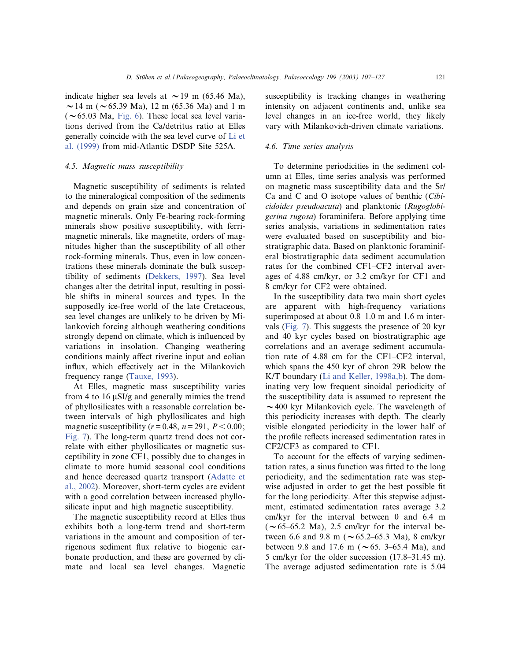indicate higher sea levels at  $\sim$  19 m (65.46 Ma),  $\sim$  14 m ( $\sim$  65.39 Ma), 12 m (65.36 Ma) and 1 m  $(\sim 65.03$  Ma, Fig. 6). These local sea level variations derived from the Ca/detritus ratio at Elles generally coincide with the sea level curve of Li et al. (1999) from mid-Atlantic DSDP Site 525A.

## 4.5. Magnetic mass susceptibility

Magnetic susceptibility of sediments is related to the mineralogical composition of the sediments and depends on grain size and concentration of magnetic minerals. Only Fe-bearing rock-forming minerals show positive susceptibility, with ferrimagnetic minerals, like magnetite, orders of magnitudes higher than the susceptibility of all other rock-forming minerals. Thus, even in low concentrations these minerals dominate the bulk susceptibility of sediments (Dekkers, 1997). Sea level changes alter the detrital input, resulting in possible shifts in mineral sources and types. In the supposedly ice-free world of the late Cretaceous, sea level changes are unlikely to be driven by Milankovich forcing although weathering conditions strongly depend on climate, which is influenced by variations in insolation. Changing weathering conditions mainly affect riverine input and eolian influx, which effectively act in the Milankovich frequency range (Tauxe, 1993).

At Elles, magnetic mass susceptibility varies from 4 to 16  $\mu$ SI/g and generally mimics the trend of phyllosilicates with a reasonable correlation between intervals of high phyllosilicates and high magnetic susceptibility ( $r = 0.48$ ,  $n = 291$ ,  $P < 0.00$ ; Fig. 7). The long-term quartz trend does not correlate with either phyllosilicates or magnetic susceptibility in zone CF1, possibly due to changes in climate to more humid seasonal cool conditions and hence decreased quartz transport (Adatte et al., 2002). Moreover, short-term cycles are evident with a good correlation between increased phyllosilicate input and high magnetic susceptibility.

The magnetic susceptibility record at Elles thus exhibits both a long-term trend and short-term variations in the amount and composition of terrigenous sediment flux relative to biogenic carbonate production, and these are governed by climate and local sea level changes. Magnetic

susceptibility is tracking changes in weathering intensity on adjacent continents and, unlike sea level changes in an ice-free world, they likely vary with Milankovich-driven climate variations.

## 4.6. Time series analysis

To determine periodicities in the sediment column at Elles, time series analysis was performed on magnetic mass susceptibility data and the Sr/ Ca and C and O isotope values of benthic (Cibicidoides pseudoacuta) and planktonic (Rugoglobigerina rugosa) foraminifera. Before applying time series analysis, variations in sedimentation rates were evaluated based on susceptibility and biostratigraphic data. Based on planktonic foraminiferal biostratigraphic data sediment accumulation rates for the combined CF1-CF2 interval averages of 4.88 cm/kyr, or 3.2 cm/kyr for CF1 and 8 cm/kyr for CF2 were obtained.

In the susceptibility data two main short cycles are apparent with high-frequency variations superimposed at about 0.8–1.0 m and 1.6 m intervals (Fig. 7). This suggests the presence of 20 kyr and 40 kyr cycles based on biostratigraphic age correlations and an average sediment accumulation rate of 4.88 cm for the CF1^CF2 interval, which spans the 450 kyr of chron 29R below the K/T boundary (Li and Keller, 1998a,b). The dominating very low frequent sinoidal periodicity of the susceptibility data is assumed to represent the  $\sim$  400 kyr Milankovich cycle. The wavelength of this periodicity increases with depth. The clearly visible elongated periodicity in the lower half of the profile reflects increased sedimentation rates in CF2/CF3 as compared to CF1.

To account for the effects of varying sedimentation rates, a sinus function was fitted to the long periodicity, and the sedimentation rate was stepwise adjusted in order to get the best possible fit for the long periodicity. After this stepwise adjustment, estimated sedimentation rates average 3.2 cm/kyr for the interval between 0 and 6.4 m  $(\sim 65-65.2$  Ma), 2.5 cm/kyr for the interval between 6.6 and 9.8 m ( $\sim$  65.2–65.3 Ma), 8 cm/kyr between 9.8 and 17.6 m ( $\sim$  65. 3–65.4 Ma), and 5 cm/kyr for the older succession (17.8–31.45 m). The average adjusted sedimentation rate is 5.04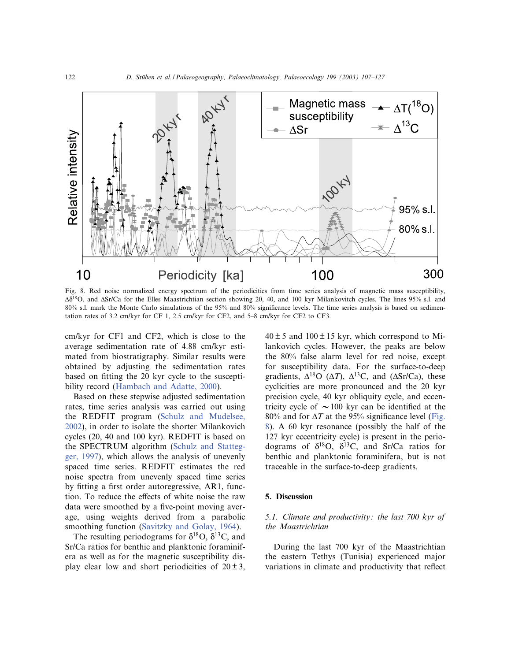

Fig. 8. Red noise normalized energy spectrum of the periodicities from time series analysis of magnetic mass susceptibility,  $\Delta\delta^{18}$ O, and  $\Delta\rm Sr/C$ a for the Elles Maastrichtian section showing 20, 40, and 100 kyr Milankovitch cycles. The lines 95% s.l. and 80% s.l. mark the Monte Carlo simulations of the 95% and 80% significance levels. The time series analysis is based on sedimentation rates of 3.2 cm/kyr for CF 1, 2.5 cm/kyr for CF2, and 5^8 cm/kyr for CF2 to CF3.

cm/kyr for CF1 and CF2, which is close to the average sedimentation rate of 4.88 cm/kyr estimated from biostratigraphy. Similar results were obtained by adjusting the sedimentation rates based on fitting the 20 kyr cycle to the susceptibility record (Hambach and Adatte, 2000).

Based on these stepwise adjusted sedimentation rates, time series analysis was carried out using the REDFIT program (Schulz and Mudelsee, 2002), in order to isolate the shorter Milankovich cycles (20, 40 and 100 kyr). REDFIT is based on the SPECTRUM algorithm (Schulz and Stattegger, 1997), which allows the analysis of unevenly spaced time series. REDFIT estimates the red noise spectra from unevenly spaced time series by fitting a first order autoregressive, AR1, function. To reduce the effects of white noise the raw data were smoothed by a five-point moving average, using weights derived from a parabolic smoothing function (Savitzky and Golay, 1964).

The resulting periodograms for  $\delta^{18}O$ ,  $\delta^{13}C$ , and Sr/Ca ratios for benthic and planktonic foraminifera as well as for the magnetic susceptibility display clear low and short periodicities of  $20 \pm 3$ ,  $40 \pm 5$  and  $100 \pm 15$  kyr, which correspond to Milankovich cycles. However, the peaks are below the 80% false alarm level for red noise, except for susceptibility data. For the surface-to-deep gradients,  $\Delta^{18}O$  ( $\Delta T$ ),  $\Delta^{13}C$ , and ( $\Delta Sr/Ca$ ), these cyclicities are more pronounced and the 20 kyr precision cycle, 40 kyr obliquity cycle, and eccentricity cycle of  $\sim$  100 kyr can be identified at the 80% and for  $\Delta T$  at the 95% significance level (Fig. 8). A 60 kyr resonance (possibly the half of the 127 kyr eccentricity cycle) is present in the periodograms of  $\delta^{18}O$ ,  $\delta^{13}C$ , and Sr/Ca ratios for benthic and planktonic foraminifera, but is not traceable in the surface-to-deep gradients.

## 5. Discussion

# 5.1. Climate and productivity: the last 700 kyr of the Maastrichtian

During the last 700 kyr of the Maastrichtian the eastern Tethys (Tunisia) experienced major variations in climate and productivity that reflect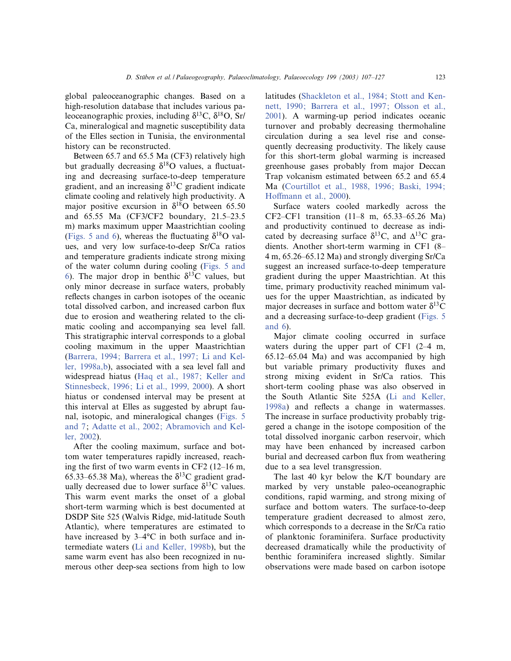global paleoceanographic changes. Based on a high-resolution database that includes various paleoceanographic proxies, including  $\delta^{13}$ C,  $\delta^{18}$ O, Sr/ Ca, mineralogical and magnetic susceptibility data of the Elles section in Tunisia, the environmental history can be reconstructed.

Between 65.7 and 65.5 Ma (CF3) relatively high but gradually decreasing  $\delta^{18}O$  values, a fluctuating and decreasing surface-to-deep temperature gradient, and an increasing  $\delta^{13}$ C gradient indicate climate cooling and relatively high productivity. A major positive excursion in  $\delta^{18}$ O between 65.50 and 65.55 Ma (CF3/CF2 boundary, 21.5^23.5 m) marks maximum upper Maastrichtian cooling (Figs. 5 and 6), whereas the fluctuating  $\delta^{18}$ O values, and very low surface-to-deep Sr/Ca ratios and temperature gradients indicate strong mixing of the water column during cooling (Figs. 5 and 6). The major drop in benthic  $\delta^{13}$ C values, but only minor decrease in surface waters, probably reflects changes in carbon isotopes of the oceanic total dissolved carbon, and increased carbon flux due to erosion and weathering related to the climatic cooling and accompanying sea level fall. This stratigraphic interval corresponds to a global cooling maximum in the upper Maastrichtian (Barrera, 1994; Barrera et al., 1997; Li and Keller, 1998a,b), associated with a sea level fall and widespread hiatus (Haq et al., 1987; Keller and Stinnesbeck, 1996; Li et al., 1999, 2000). A short hiatus or condensed interval may be present at this interval at Elles as suggested by abrupt faunal, isotopic, and mineralogical changes (Figs. 5 and 7; Adatte et al., 2002; Abramovich and Keller, 2002).

After the cooling maximum, surface and bottom water temperatures rapidly increased, reaching the first of two warm events in CF2  $(12-16 \text{ m},$ 65.33–65.38 Ma), whereas the  $\delta^{13}$ C gradient gradually decreased due to lower surface  $\delta^{13}$ C values. This warm event marks the onset of a global short-term warming which is best documented at DSDP Site 525 (Walvis Ridge, mid-latitude South Atlantic), where temperatures are estimated to have increased by  $3-4°C$  in both surface and intermediate waters (Li and Keller, 1998b), but the same warm event has also been recognized in numerous other deep-sea sections from high to low latitudes (Shackleton et al., 1984; Stott and Kennett, 1990; Barrera et al., 1997; Olsson et al., 2001). A warming-up period indicates oceanic turnover and probably decreasing thermohaline circulation during a sea level rise and consequently decreasing productivity. The likely cause for this short-term global warming is increased greenhouse gases probably from major Deccan Trap volcanism estimated between 65.2 and 65.4 Ma (Courtillot et al., 1988, 1996; Baski, 1994; Hoffmann et al., 2000).

Surface waters cooled markedly across the CF2–CF1 transition (11–8 m, 65.33–65.26 Ma) and productivity continued to decrease as indicated by decreasing surface  $\delta^{13}$ C, and  $\Delta^{13}$ C gradients. Another short-term warming in CF1 (8^ 4 m, 65.26^65.12 Ma) and strongly diverging Sr/Ca suggest an increased surface-to-deep temperature gradient during the upper Maastrichtian. At this time, primary productivity reached minimum values for the upper Maastrichtian, as indicated by major decreases in surface and bottom water  $\delta^{13}$ C and a decreasing surface-to-deep gradient (Figs. 5 and 6).

Major climate cooling occurred in surface waters during the upper part of CF1  $(2-4 m, 10)$  $65.12-65.04$  Ma) and was accompanied by high but variable primary productivity fluxes and strong mixing evident in Sr/Ca ratios. This short-term cooling phase was also observed in the South Atlantic Site 525A (Li and Keller, 1998a) and reflects a change in watermasses. The increase in surface productivity probably triggered a change in the isotope composition of the total dissolved inorganic carbon reservoir, which may have been enhanced by increased carbon burial and decreased carbon flux from weathering due to a sea level transgression.

The last 40 kyr below the K/T boundary are marked by very unstable paleo-oceanographic conditions, rapid warming, and strong mixing of surface and bottom waters. The surface-to-deep temperature gradient decreased to almost zero, which corresponds to a decrease in the Sr/Ca ratio of planktonic foraminifera. Surface productivity decreased dramatically while the productivity of benthic foraminifera increased slightly. Similar observations were made based on carbon isotope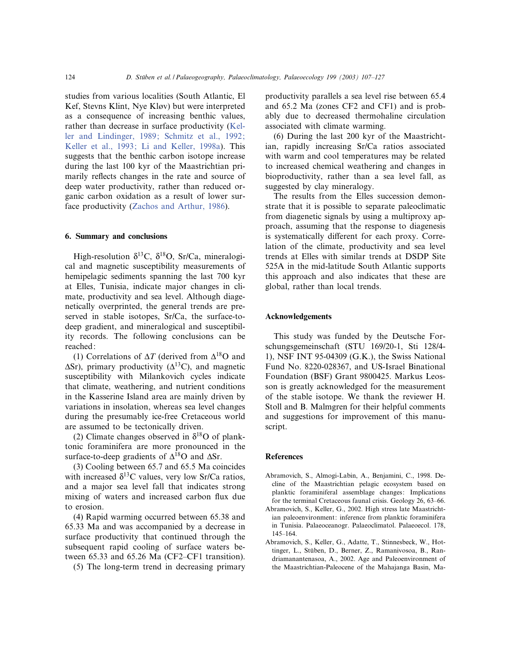studies from various localities (South Atlantic, El Kef, Stevns Klint, Nye Kløv) but were interpreted as a consequence of increasing benthic values, rather than decrease in surface productivity (Keller and Lindinger, 1989; Schmitz et al., 1992; Keller et al., 1993; Li and Keller, 1998a). This suggests that the benthic carbon isotope increase during the last 100 kyr of the Maastrichtian primarily reflects changes in the rate and source of deep water productivity, rather than reduced organic carbon oxidation as a result of lower surface productivity (Zachos and Arthur, 1986).

## 6. Summary and conclusions

High-resolution  $\delta^{13}C$ ,  $\delta^{18}O$ , Sr/Ca, mineralogical and magnetic susceptibility measurements of hemipelagic sediments spanning the last 700 kyr at Elles, Tunisia, indicate major changes in climate, productivity and sea level. Although diagenetically overprinted, the general trends are preserved in stable isotopes, Sr/Ca, the surface-todeep gradient, and mineralogical and susceptibility records. The following conclusions can be reached:

(1) Correlations of  $\Delta T$  (derived from  $\Delta^{18}$ O and  $\Delta$ Sr), primary productivity ( $\Delta$ <sup>13</sup>C), and magnetic susceptibility with Milankovich cycles indicate that climate, weathering, and nutrient conditions in the Kasserine Island area are mainly driven by variations in insolation, whereas sea level changes during the presumably ice-free Cretaceous world are assumed to be tectonically driven.

(2) Climate changes observed in  $\delta^{18}$ O of planktonic foraminifera are more pronounced in the surface-to-deep gradients of  $\Delta^{18}$ O and  $\Delta$ Sr.

(3) Cooling between 65.7 and 65.5 Ma coincides with increased  $\delta^{13}$ C values, very low Sr/Ca ratios, and a major sea level fall that indicates strong mixing of waters and increased carbon flux due to erosion.

(4) Rapid warming occurred between 65.38 and 65.33 Ma and was accompanied by a decrease in surface productivity that continued through the subsequent rapid cooling of surface waters between  $65.33$  and  $65.26$  Ma (CF2–CF1 transition).

(5) The long-term trend in decreasing primary

productivity parallels a sea level rise between 65.4 and 65.2 Ma (zones CF2 and CF1) and is probably due to decreased thermohaline circulation associated with climate warming.

(6) During the last 200 kyr of the Maastrichtian, rapidly increasing Sr/Ca ratios associated with warm and cool temperatures may be related to increased chemical weathering and changes in bioproductivity, rather than a sea level fall, as suggested by clay mineralogy.

The results from the Elles succession demonstrate that it is possible to separate paleoclimatic from diagenetic signals by using a multiproxy approach, assuming that the response to diagenesis is systematically different for each proxy. Correlation of the climate, productivity and sea level trends at Elles with similar trends at DSDP Site 525A in the mid-latitude South Atlantic supports this approach and also indicates that these are global, rather than local trends.

#### Acknowledgements

This study was funded by the Deutsche Forschungsgemeinschaft (STU 169/20-1, Sti 128/4- 1), NSF INT 95-04309 (G.K.), the Swiss National Fund No. 8220-028367, and US-Israel Binational Foundation (BSF) Grant 9800425. Markus Leosson is greatly acknowledged for the measurement of the stable isotope. We thank the reviewer H. Stoll and B. Malmgren for their helpful comments and suggestions for improvement of this manuscript.

#### **References**

- Abramovich, S., Almogi-Labin, A., Benjamini, C., 1998. Decline of the Maastrichtian pelagic ecosystem based on planktic foraminiferal assemblage changes: Implications for the terminal Cretaceous faunal crisis. Geology 26, 63–66.
- Abramovich, S., Keller, G., 2002. High stress late Maastrichtian paleoenvironment: inference from planktic foraminifera in Tunisia. Palaeoceanogr. Palaeoclimatol. Palaeoecol. 178, 145^164.
- Abramovich, S., Keller, G., Adatte, T., Stinnesbeck, W., Hottinger, L., Stüben, D., Berner, Z., Ramanivosoa, B., Randriamanantenasoa, A., 2002. Age and Paleoenvironment of the Maastrichtian-Paleocene of the Mahajanga Basin, Ma-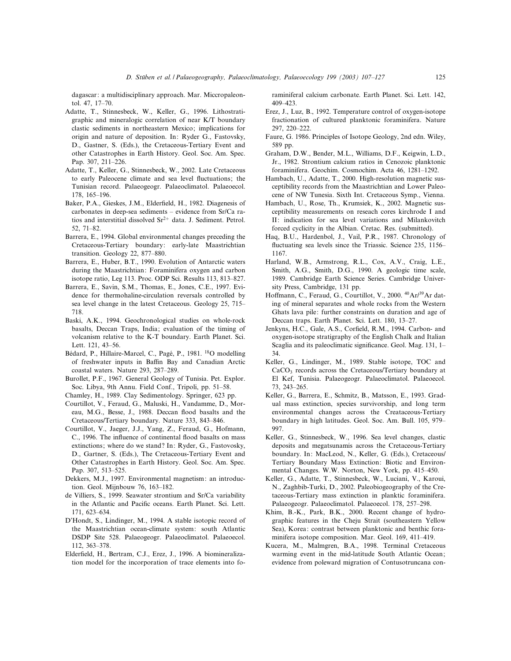dagascar: a multidisciplinary approach. Mar. Miccropaleontol. 47, 17-70.

- Adatte, T., Stinnesbeck, W., Keller, G., 1996. Lithostratigraphic and mineralogic correlation of near K/T boundary clastic sediments in northeastern Mexico; implications for origin and nature of deposition. In: Ryder G., Fastovsky, D., Gastner, S. (Eds.), the Cretaceous-Tertiary Event and other Catastrophes in Earth History. Geol. Soc. Am. Spec. Pap. 307, 211-226.
- Adatte, T., Keller, G., Stinnesbeck, W., 2002. Late Cretaceous to early Paleocene climate and sea level fluctuations; the Tunisian record. Palaeogeogr. Palaeoclimatol. Palaeoecol. 178, 165^196.
- Baker, P.A., Gieskes, J.M., Elderfield, H., 1982. Diagenesis of carbonates in deep-sea sediments - evidence from Sr/Ca ratios and interstitial dissolved  $Sr^{2+}$  data. J. Sediment. Petrol. 52, 71^82.
- Barrera, E., 1994. Global environmental changes preceding the Cretaceous-Tertiary boundary: early-late Maastrichtian transition. Geology 22, 877-880.
- Barrera, E., Huber, B.T., 1990. Evolution of Antarctic waters during the Maastrichtian: Foraminifera oxygen and carbon isotope ratio, Leg 113. Proc. ODP Sci. Results 113, 813^827.
- Barrera, E., Savin, S.M., Thomas, E., Jones, C.E., 1997. Evidence for thermohaline-circulation reversals controlled by sea level change in the latest Cretaceous. Geology 25, 715^ 718.
- Baski, A.K., 1994. Geochronological studies on whole-rock basalts, Deccan Traps, India; evaluation of the timing of volcanism relative to the K-T boundary. Earth Planet. Sci. Lett. 121, 43-56.
- Bédard, P., Hillaire-Marcel, C., Pagé, P., 1981. <sup>18</sup>O modelling of freshwater inputs in Baffin Bay and Canadian Arctic coastal waters. Nature 293, 287-289.
- Burollet, P.F., 1967. General Geology of Tunisia. Pet. Explor. Soc. Libya, 9th Annu. Field Conf., Tripoli, pp. 51^58.
- Chamley, H., 1989. Clay Sedimentology. Springer, 623 pp.
- Courtillot, V., Feraud, G., Maluski, H., Vandamme, D., Moreau, M.G., Besse, J., 1988. Deccan flood basalts and the Cretaceous/Tertiary boundary. Nature 333, 843-846.
- Courtillot, V., Jaeger, J.J., Yang, Z., Feraud, G., Hofmann, C., 1996. The influence of continental flood basalts on mass extinctions; where do we stand? In: Ryder, G., Fastovosky, D., Gartner, S. (Eds.), The Cretaceous-Tertiary Event and Other Catastrophes in Earth History. Geol. Soc. Am. Spec. Pap. 307, 513-525.
- Dekkers, M.J., 1997. Environmental magnetism: an introduction. Geol. Mijnbouw 76, 163^182.
- de Villiers, S., 1999. Seawater strontium and Sr/Ca variability in the Atlantic and Pacific oceans. Earth Planet. Sci. Lett. 171, 623^634.
- D'Hondt, S., Lindinger, M., 1994. A stable isotopic record of the Maastrichtian ocean-climate system: south Atlantic DSDP Site 528. Palaeogeogr. Palaeoclimatol. Palaeoecol. 112, 363-378.
- Elderfield, H., Bertram, C.J., Erez, J., 1996. A biomineralization model for the incorporation of trace elements into fo-

raminiferal calcium carbonate. Earth Planet. Sci. Lett. 142, 409^423.

- Erez, J., Luz, B., 1992. Temperature control of oxygen-isotope fractionation of cultured planktonic foraminifera. Nature 297, 220^222.
- Faure, G. 1986. Principles of Isotope Geology, 2nd edn. Wiley, 589 pp.
- Graham, D.W., Bender, M.L., Williams, D.F., Keigwin, L.D., Jr., 1982. Strontium calcium ratios in Cenozoic planktonic foraminifera. Geochim. Cosmochim. Acta 46, 1281^1292.
- Hambach, U., Adatte, T., 2000. High-resolution magnetic susceptibility records from the Maastrichtian and Lower Paleocene of NW Tunesia. Sixth Int. Cretaceous Symp., Vienna.
- Hambach, U., Rose, Th., Krumsiek, K., 2002. Magnetic susceptibility measurements on reseach cores kirchrode I and II: indication for sea level variations and Milankovitch forced cyclicity in the Albian. Cretac. Res. (submitted).
- Haq, B.U., Hardenbol, J., Vail, P.R., 1987. Chronology of fluctuating sea levels since the Triassic. Science 235, 1156– 1167.
- Harland, W.B., Armstrong, R.L., Cox, A.V., Craig, L.E., Smith, A.G., Smith, D.G., 1990. A geologic time scale, 1989. Cambridge Earth Science Series. Cambridge University Press, Cambridge, 131 pp.
- Hoffmann, C., Feraud, G., Courtillot, V., 2000. <sup>40</sup>Ar/<sup>39</sup>Ar dating of mineral separates and whole rocks from the Western Ghats lava pile: further constraints on duration and age of Deccan traps. Earth Planet. Sci. Lett. 180, 13^27.
- Jenkyns, H.C., Gale, A.S., Corfield, R.M., 1994. Carbon- and oxygen-isotope stratigraphy of the English Chalk and Italian Scaglia and its paleoclimatic significance. Geol. Mag. 131, 1-34.
- Keller, G., Lindinger, M., 1989. Stable isotope, TOC and CaCO<sub>3</sub> records across the Cretaceous/Tertiary boundary at El Kef, Tunisia. Palaeogeogr. Palaeoclimatol. Palaeoecol. 73, 243^265.
- Keller, G., Barrera, E., Schmitz, B., Matsson, E., 1993. Gradual mass extinction, species survivorship, and long term environmental changes across the Creataceous-Tertiary boundary in high latitudes. Geol. Soc. Am. Bull. 105, 979^ 997.
- Keller, G., Stinnesbeck, W., 1996. Sea level changes, clastic deposits and megatsunamis across the Cretaceous-Tertiary boundary. In: MacLeod, N., Keller, G. (Eds.), Cretaceous/ Tertiary Boundary Mass Extinction: Biotic and Environmental Changes. W.W. Norton, New York, pp. 415^450.
- Keller, G., Adatte, T., Stinnesbeck, W., Luciani, V., Karoui, N., Zaghbib-Turki, D., 2002. Paleobiogeography of the Cretaceous-Tertiary mass extinction in planktic foraminifera. Palaeogeogr. Palaeoclimatol. Palaeoecol. 178, 257-298.
- Khim, B.-K., Park, B.K., 2000. Recent change of hydrographic features in the Cheju Strait (southeastern Yellow Sea), Korea: contrast between planktonic and benthic foraminifera isotope composition. Mar. Geol. 169, 411^419.
- Kucera, M., Malmgren, B.A., 1998. Terminal Cretaceous warming event in the mid-latitude South Atlantic Ocean; evidence from poleward migration of Contusotruncana con-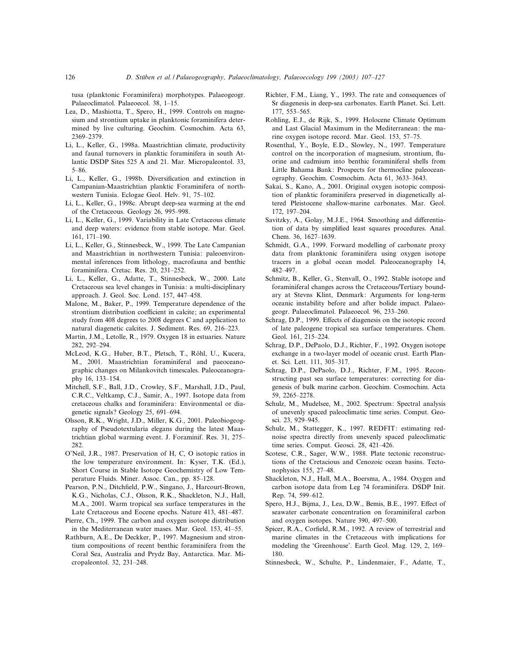tusa (planktonic Foraminifera) morphotypes. Palaeogeogr. Palaeoclimatol. Palaeoecol. 38, 1-15.

- Lea, D., Mashiotta, T., Spero, H., 1999. Controls on magnesium and strontium uptake in planktonic foraminifera determined by live culturing. Geochim. Cosmochim. Acta 63, 2369^2379.
- Li, L., Keller, G., 1998a. Maastrichtian climate, productivity and faunal turnovers in planktic foraminifera in south Atlantic DSDP Sites 525 A and 21. Mar. Micropaleontol. 33, 5^86.
- Li, L., Keller, G., 1998b. Diversification and extinction in Campanian-Maastrichtian planktic Foraminifera of northwestern Tunisia. Eclogae Geol. Helv. 91, 75-102.
- Li, L., Keller, G., 1998c. Abrupt deep-sea warming at the end of the Cretaceous. Geology 26, 995-998.
- Li, L., Keller, G., 1999. Variability in Late Cretaceous climate and deep waters: evidence from stable isotope. Mar. Geol. 161, 171^190.
- Li, L., Keller, G., Stinnesbeck, W., 1999. The Late Campanian and Maastrichtian in northwestern Tunisia: paleoenvironmental inferences from lithology, macrofauna and benthic foraminifera. Cretac. Res. 20, 231^252.
- Li, L., Keller, G., Adatte, T., Stinnesbeck, W., 2000. Late Cretaceous sea level changes in Tunisia: a multi-disciplinary approach. J. Geol. Soc. Lond. 157, 447^458.
- Malone, M., Baker, P., 1999. Temperature dependence of the strontium distribution coefficient in calcite; an experimental study from 408 degrees to 2008 degrees C and application to natural diagenetic calcites. J. Sediment. Res. 69, 216^223.
- Martin, J.M., Letolle, R., 1979. Oxygen 18 in estuaries. Nature 282, 292^294.
- McLeod, K.G., Huber, B.T., Pletsch, T., Röhl, U., Kucera, M., 2001. Maastrichtian foraminiferal and paeoceanographic changes on Milankovitch timescales. Paleoceanography 16, 133^154.
- Mitchell, S.F., Ball, J.D., Crowley, S.F., Marshall, J.D., Paul, C.R.C., Veltkamp, C.J., Samir, A., 1997. Isotope data from cretaceous chalks and foraminifera: Environmental or diagenetic signals? Geology 25, 691^694.
- Olsson, R.K., Wright, J.D., Miller, K.G., 2001. Paleobiogeography of Pseudotextularia elegans during the latest Maastrichtian global warming event. J. Foraminif. Res. 31, 275^ 282.
- O'Neil, J.R., 1987. Preservation of H, C, O isotopic ratios in the low temperature environment. In: Kyser, T.K. (Ed.), Short Course in Stable Isotope Geochemistry of Low Temperature Fluids. Miner. Assoc. Can., pp. 85^128.
- Pearson, P.N., Ditchfield, P.W., Singano, J., Harcourt-Brown, K.G., Nicholas, C.J., Olsson, R.K., Shackleton, N.J., Hall, M.A., 2001. Warm tropical sea surface temperatures in the Late Cretaceous and Eocene epochs. Nature 413, 481-487.
- Pierre, Ch., 1999. The carbon and oxygen isotope distribution in the Mediterranean water mases. Mar. Geol. 153, 41^55.
- Rathburn, A.E., De Deckker, P., 1997. Magnesium and strontium compositions of recent benthic foraminifera from the Coral Sea, Australia and Prydz Bay, Antarctica. Mar. Micropaleontol. 32, 231^248.
- Richter, F.M., Liang, Y., 1993. The rate and consequences of Sr diagenesis in deep-sea carbonates. Earth Planet. Sci. Lett. 177, 553-565.
- Rohling, E.J., de Rijk, S., 1999. Holocene Climate Optimum and Last Glacial Maximum in the Mediterranean: the marine oxygen isotope record. Mar. Geol. 153, 57-75.
- Rosenthal, Y., Boyle, E.D., Slowley, N., 1997. Temperature control on the incorporation of magnesium, strontium, fluorine and cadmium into benthic foraminiferal shells from Little Bahama Bank: Prospects for thermocline paleoceanography. Geochim. Cosmochim. Acta 61, 3633-3643.
- Sakai, S., Kano, A., 2001. Original oxygen isotopic composition of planktic foraminifera preserved in diagenetically altered Pleistocene shallow-marine carbonates. Mar. Geol. 172, 197-204.
- Savitzky, A., Golay, M.J.E., 1964. Smoothing and differentiation of data by simplified least squares procedures. Anal. Chem. 36, 1627-1639.
- Schmidt, G.A., 1999. Forward modelling of carbonate proxy data from planktonic foraminifera using oxygen isotope tracers in a global ocean model. Paleoceanography 14, 482^497.
- Schmitz, B., Keller, G., Stenvall, O., 1992. Stable isotope and foraminiferal changes across the Cretaceous/Tertiary boundary at Stevns Klint, Denmark: Arguments for long-term oceanic instability before and after bolide impact. Palaeogeogr. Palaeoclimatol. Palaeoecol. 96, 233-260.
- Schrag, D.P., 1999. Effects of diagenesis on the isotopic record of late paleogene tropical sea surface temperatures. Chem. Geol. 161, 215-224.
- Schrag, D.P., DePaolo, D.J., Richter, F., 1992. Oxygen isotope exchange in a two-layer model of oceanic crust. Earth Planet. Sci. Lett. 111, 305^317.
- Schrag, D.P., DePaolo, D.J., Richter, F.M., 1995. Reconstructing past sea surface temperatures: correcting for diagenesis of bulk marine carbon. Geochim. Cosmochim. Acta 59, 2265^2278.
- Schulz, M., Mudelsee, M., 2002. Spectrum: Spectral analysis of unevenly spaced paleoclimatic time series. Comput. Geosci. 23, 929-945.
- Schulz, M., Stattegger, K., 1997. REDFIT: estimating rednoise spectra directly from unevenly spaced paleoclimatic time series. Comput. Geosci. 28, 421-426.
- Scotese, C.R., Sager, W.W., 1988. Plate tectonic reconstructions of the Cretacious and Cenozoic ocean basins. Tectonophysics 155, 27^48.
- Shackleton, N.J., Hall, M.A., Boersma, A., 1984. Oxygen and carbon isotope data from Leg 74 foraminifera. DSDP Init. Rep. 74, 599-612.
- Spero, H.J., Bijma, J., Lea, D.W., Bemis, B.E., 1997. Effect of seawater carbonate concentration on foraminiferal carbon and oxygen isotopes. Nature 390, 497-500.
- Spicer, R.A., Corfield, R.M., 1992. A review of terrestrial and marine climates in the Cretaceous with implications for modeling the 'Greenhouse'. Earth Geol. Mag. 129, 2, 169^ 180.
- Stinnesbeck, W., Schulte, P., Lindenmaier, F., Adatte, T.,